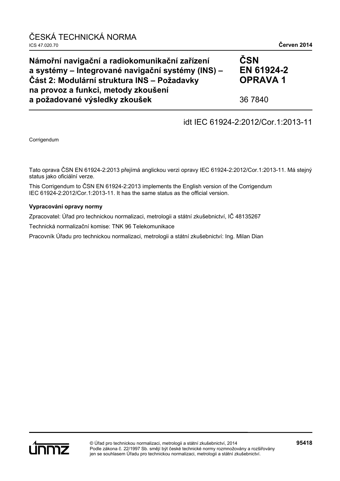| Námořní navigační a radiokomunikační zařízení<br>a systémy – Integrované navigační systémy (INS) –<br>Část 2: Modulární struktura INS – Požadavky<br>na provoz a funkci, metody zkoušení | ČSN<br>EN 61924-2<br><b>OPRAVA1</b> |
|------------------------------------------------------------------------------------------------------------------------------------------------------------------------------------------|-------------------------------------|
| a požadované výsledky zkoušek                                                                                                                                                            | 36 7840                             |

# idt IEC 61924-2:2012/Cor.1:2013-11

Corrigendum

Tato oprava ČSN EN 61924-2:2013 přejímá anglickou verzi opravy IEC 61924-2:2012/Cor.1:2013-11. Má stejný status jako oficiální verze.

This Corrigendum to ČSN EN 61924-2:2013 implements the English version of the Corrigendum IEC 61924-2:2012/Cor.1:2013-11. It has the same status as the official version.

### **Vypracování opravy normy**

Zpracovatel: Úřad pro technickou normalizaci, metrologii a státní zkušebnictví, IČ 48135267

Technická normalizační komise: TNK 96 Telekomunikace

Pracovník Úřadu pro technickou normalizaci, metrologii a státní zkušebnictví: Ing. Milan Dian

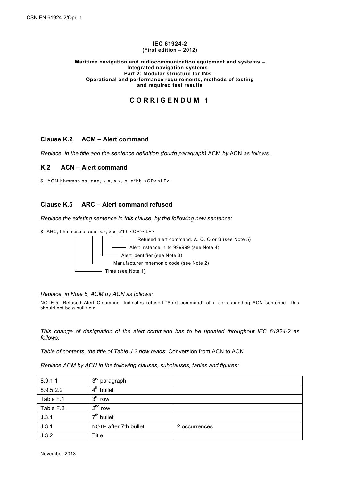#### **IEC 61924-2 (First edition – 2012)**

#### **Maritime navigation and radiocommunication equipment and systems – Integrated navigation systems – Part 2: Modular structure for INS – Operational and performance requirements, methods of testing and required test results**

## **CORRIGENDUM 1**

### **Clause K.2 ACM – Alert command**

*Replace, in the title and the sentence definition (fourth paragraph)* ACM *by* ACN *as follows:*

### **K.2 ACN – Alert command**

\$--ACN,hhmmss.ss, aaa, x.x, x.x, c, a\*hh <CR><LF>

### **Clause K.5 ARC – Alert command refused**

*Replace the existing sentence in this clause, by the following new sentence:*

\$--ARC, hhmmss.ss, aaa, x.x, x.x, c\*hh <CR><LF>



#### *Replace, in Note 5, ACM by ACN as follows:*

NOTE 5 Refused Alert Command: Indicates refused "Alert command" of a corresponding ACN sentence. This should not be a null field.

*This change of designation of the alert command has to be updated throughout IEC 61924-2 as follows:*

*Table of contents, the title of Table J.2 now reads*: Conversion from ACN to ACK

*Replace ACM by ACN in the following clauses, subclauses, tables and figures:*

| 8.9.1.1   | 3 <sup>rd</sup> paragraph |               |
|-----------|---------------------------|---------------|
| 8.9.5.2.2 | 4 <sup>th</sup> bullet    |               |
| Table F.1 | $3rd$ row                 |               |
| Table F.2 | $2^{nd}$ row              |               |
| J.3.1     | 7 <sup>th</sup> bullet    |               |
| J.3.1     | NOTE after 7th bullet     | 2 occurrences |
| J.3.2     | Title                     |               |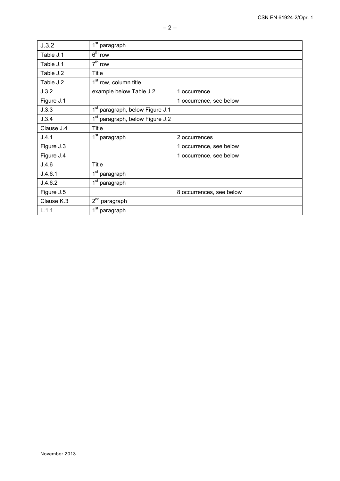| J.3.2      | $1st$ paragraph                             |                          |
|------------|---------------------------------------------|--------------------------|
| Table J.1  | $6th$ row                                   |                          |
| Table J.1  | $7th$ row                                   |                          |
| Table J.2  | Title                                       |                          |
| Table J.2  | 1 <sup>st</sup> row, column title           |                          |
| J.3.2      | example below Table J.2                     | 1 occurrence             |
| Figure J.1 |                                             | 1 occurrence, see below  |
| J.3.3      | 1 <sup>st</sup> paragraph, below Figure J.1 |                          |
| J.3.4      | 1 <sup>st</sup> paragraph, below Figure J.2 |                          |
| Clause J.4 | <b>Title</b>                                |                          |
| J.4.1      | 1 <sup>st</sup> paragraph                   | 2 occurrences            |
| Figure J.3 |                                             | 1 occurrence, see below  |
| Figure J.4 |                                             | 1 occurrence, see below  |
| J.4.6      | Title                                       |                          |
| J.4.6.1    | 1 <sup>st</sup> paragraph                   |                          |
| J.4.6.2    | 1 <sup>st</sup> paragraph                   |                          |
| Figure J.5 |                                             | 8 occurrences, see below |
| Clause K.3 | $2nd$ paragraph                             |                          |
| L.1.1      | 1 <sup>st</sup> paragraph                   |                          |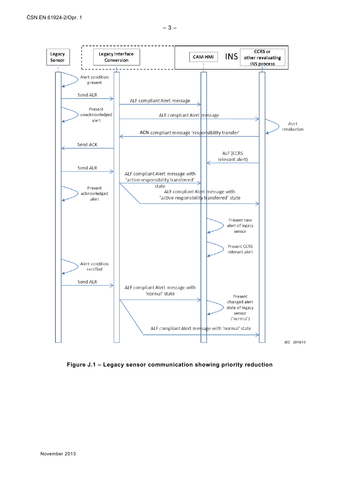

**Figure J.1 – Legacy sensor communication showing priority reduction**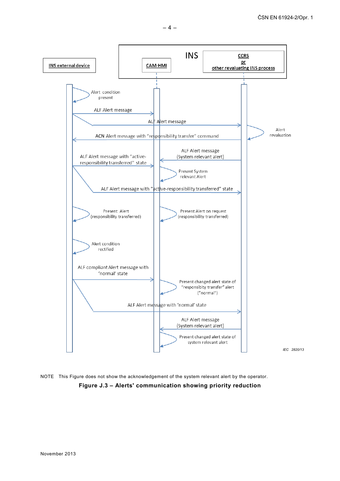

NOTE This Figure does not show the acknowledgement of the system relevant alert by the operator.

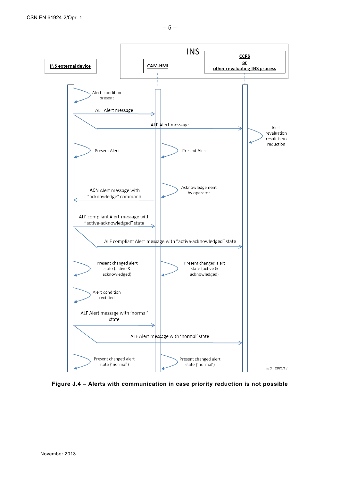

**Figure J.4 – Alerts with communication in case priority reduction is not possible**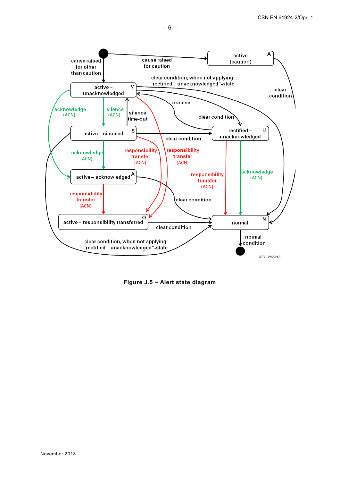

**Figure J.5 – Alert state diagram**